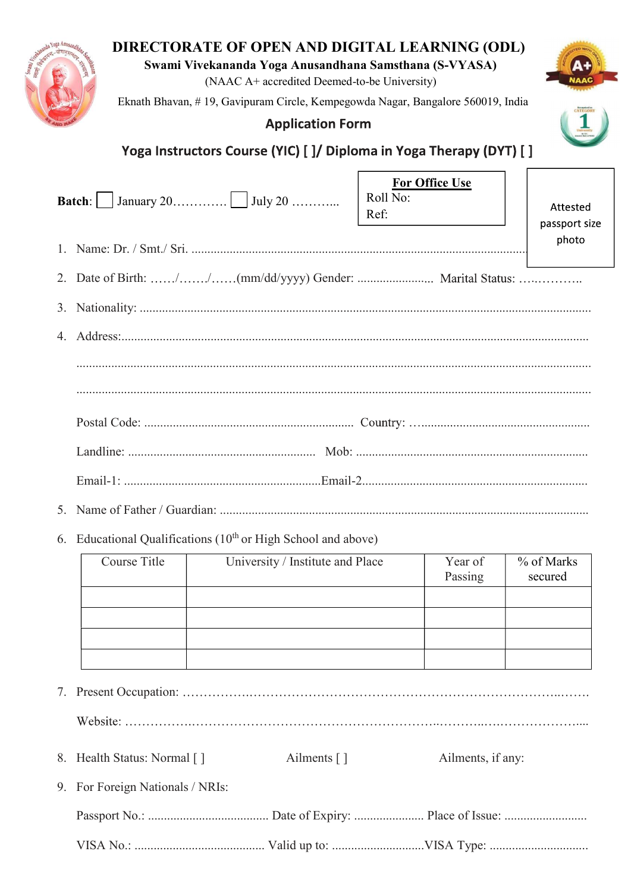

| 8. Health Status: Normal []      | Ailments $\lceil \cdot \rceil$ | Ailments, if any: |
|----------------------------------|--------------------------------|-------------------|
| 9. For Foreign Nationals / NRIs: |                                |                   |
|                                  |                                |                   |
|                                  |                                |                   |